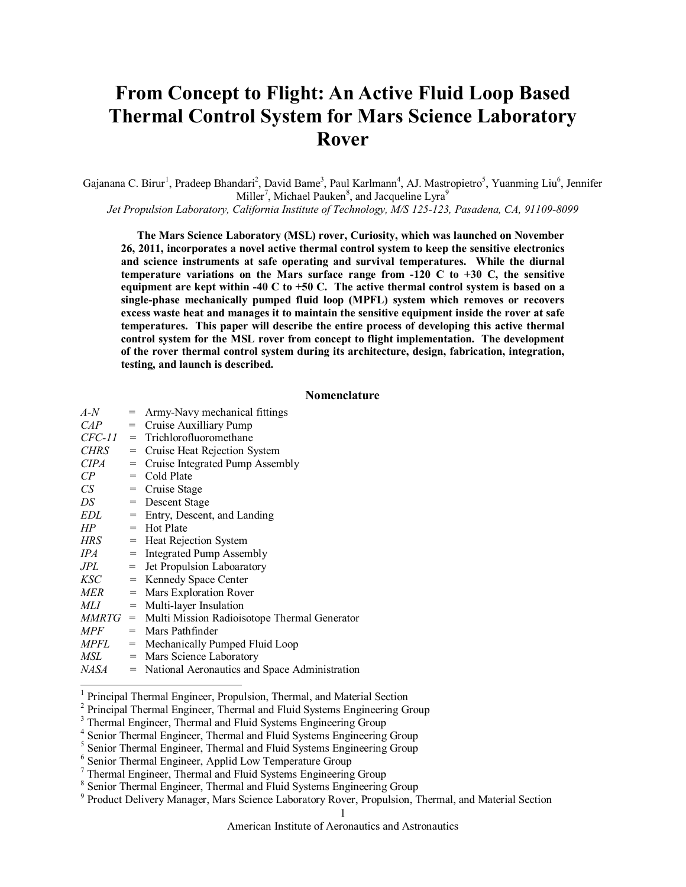# **From Concept to Flight: An Active Fluid Loop Based Thermal Control System for Mars Science Laboratory Rover**

Gajanana C. Birur<sup>[1](#page-0-0)</sup>, Pradeep Bhandari<sup>2</sup>, David Bame<sup>3</sup>, Paul Karlmann<sup>4</sup>, AJ. Mastropietro<sup>5</sup>, Yuanming Liu<sup>6</sup>, Jennifer Miller<sup>7</sup>, Michael Pauken<sup>8</sup>, and Jacqueline Lyra<sup>9</sup>

*Jet Propulsion Laboratory, California Institute of Technology, M/S 125-123, Pasadena, CA, 91109-8099* 

**The Mars Science Laboratory (MSL) rover, Curiosity, which was launched on November 26, 2011, incorporates a novel active thermal control system to keep the sensitive electronics and science instruments at safe operating and survival temperatures. While the diurnal temperature variations on the Mars surface range from -120 C to +30 C, the sensitive equipment are kept within -40 C to +50 C. The active thermal control system is based on a single-phase mechanically pumped fluid loop (MPFL) system which removes or recovers excess waste heat and manages it to maintain the sensitive equipment inside the rover at safe temperatures. This paper will describe the entire process of developing this active thermal control system for the MSL rover from concept to flight implementation. The development of the rover thermal control system during its architecture, design, fabrication, integration, testing, and launch is described.** 

# **Nomenclature**

| $A-N$         |     | = Army-Navy mechanical fittings                        |
|---------------|-----|--------------------------------------------------------|
| CAP           | $=$ | Cruise Auxilliary Pump                                 |
| <i>CFC-11</i> | $=$ | Trichlorofluoromethane                                 |
| CHRS          |     | = Cruise Heat Rejection System                         |
| <i>CIPA</i>   |     | $=$ Cruise Integrated Pump Assembly                    |
| $\mathbb{C}P$ | $=$ | Cold Plate                                             |
| CS            |     | $=$ Cruise Stage                                       |
| DS            |     | $=$ Descent Stage                                      |
| EDL           |     | = Entry, Descent, and Landing                          |
| HP            |     | $=$ Hot Plate                                          |
| HRS           |     | = Heat Rejection System                                |
| IPA           |     | $=$ Integrated Pump Assembly                           |
| <i>JPL</i>    |     | = Jet Propulsion Laboaratory                           |
| KSC           |     | = Kennedy Space Center                                 |
| MER           |     | $=$ Mars Exploration Rover                             |
| MLI           |     | $=$ Multi-layer Insulation                             |
|               |     | $MMRTG$ = Multi Mission Radioisotope Thermal Generator |
| <i>MPF</i>    | $=$ | Mars Pathfinder                                        |
| <i>MPFL</i>   | $=$ | Mechanically Pumped Fluid Loop                         |
| MSL           |     | $=$ Mars Science Laboratory                            |
| NASA          |     | = National Aeronautics and Space Administration        |

 $\overline{a}$ 

<span id="page-0-0"></span><sup>&</sup>lt;sup>1</sup> Principal Thermal Engineer, Propulsion, Thermal, and Material Section  $\frac{2}{3}$  Principal Thermal Engineer, Thermal and Fluid Systems Engineering Group  $\frac{3}{3}$  Thermal Engineer, Thermal and Fluid Systems Engineering

<sup>&</sup>lt;sup>4</sup> Senior Thermal Engineer, Thermal and Fluid Systems Engineering Group  $\frac{5}{5}$  Senior Thermal Engineer, Thermal and Fluid Systems Engineering Group  $\frac{6}{5}$  Senior Thermal Engineer, Applid Low Temperature Group

 $\frac{1}{2}$  Thermal Engineer, Thermal and Fluid Systems Engineering Group

<sup>&</sup>lt;sup>8</sup> Senior Thermal Engineer, Thermal and Fluid Systems Engineering Group

<sup>&</sup>lt;sup>9</sup> Product Delivery Manager, Mars Science Laboratory Rover, Propulsion, Thermal, and Material Section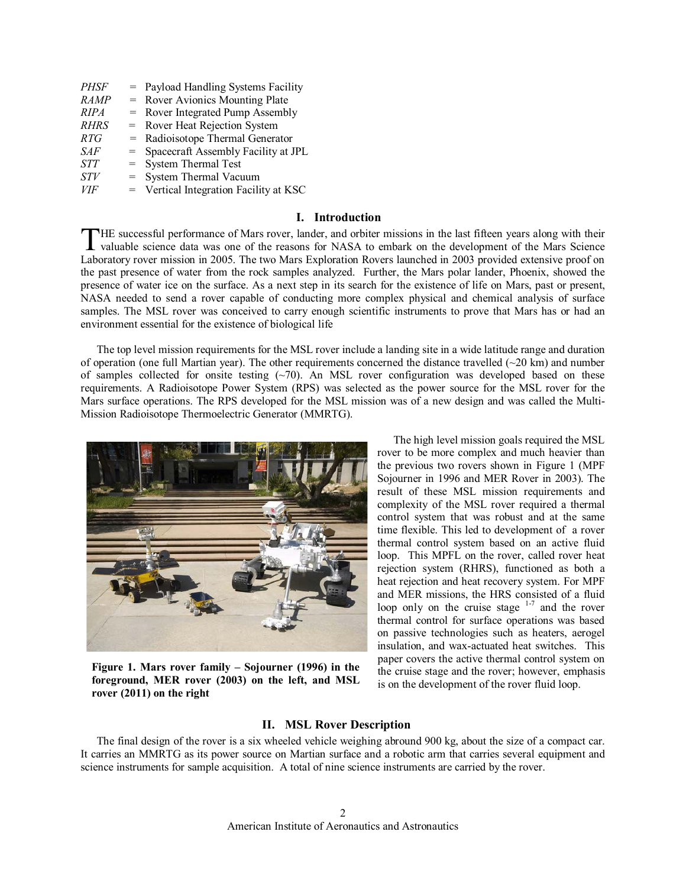| <b>PHSF</b> |     | $=$ Payload Handling Systems Facility |
|-------------|-----|---------------------------------------|
| <b>RAMP</b> |     | = Rover Avionics Mounting Plate       |
| <b>RIPA</b> |     | $=$ Rover Integrated Pump Assembly    |
| <b>RHRS</b> |     | = Rover Heat Rejection System         |
| RTG         |     | $=$ Radioisotope Thermal Generator    |
| SAF         | $=$ | Spacecraft Assembly Facility at JPL   |
| <b>STT</b>  | $=$ | System Thermal Test                   |
| <b>STV</b>  | $=$ | System Thermal Vacuum                 |

*VIF* = Vertical Integration Facility at KSC

# **I. Introduction**

HE successful performance of Mars rover, lander, and orbiter missions in the last fifteen years along with their valuable science data was one of the reasons for NASA to embark on the development of the Mars Science THE successful performance of Mars rover, lander, and orbiter missions in the last fifteen years along with their valuable science data was one of the reasons for NASA to embark on the development of the Mars Science Labor the past presence of water from the rock samples analyzed. Further, the Mars polar lander, Phoenix, showed the presence of water ice on the surface. As a next step in its search for the existence of life on Mars, past or present, NASA needed to send a rover capable of conducting more complex physical and chemical analysis of surface samples. The MSL rover was conceived to carry enough scientific instruments to prove that Mars has or had an environment essential for the existence of biological life

The top level mission requirements for the MSL rover include a landing site in a wide latitude range and duration of operation (one full Martian year). The other requirements concerned the distance travelled (~20 km) and number of samples collected for onsite testing  $(\sim 70)$ . An MSL rover configuration was developed based on these requirements. A Radioisotope Power System (RPS) was selected as the power source for the MSL rover for the Mars surface operations. The RPS developed for the MSL mission was of a new design and was called the Multi-Mission Radioisotope Thermoelectric Generator (MMRTG).



**Figure 1. Mars rover family – Sojourner (1996) in the foreground, MER rover (2003) on the left, and MSL rover (2011) on the right** 

The high level mission goals required the MSL rover to be more complex and much heavier than the previous two rovers shown in Figure 1 (MPF Sojourner in 1996 and MER Rover in 2003). The result of these MSL mission requirements and complexity of the MSL rover required a thermal control system that was robust and at the same time flexible. This led to development of a rover thermal control system based on an active fluid loop. This MPFL on the rover, called rover heat rejection system (RHRS), functioned as both a heat rejection and heat recovery system. For MPF and MER missions, the HRS consisted of a fluid loop only on the cruise stage  $1-7$  and the rover thermal control for surface operations was based on passive technologies such as heaters, aerogel insulation, and wax-actuated heat switches. This paper covers the active thermal control system on the cruise stage and the rover; however, emphasis is on the development of the rover fluid loop.

# **II. MSL Rover Description**

The final design of the rover is a six wheeled vehicle weighing abround 900 kg, about the size of a compact car. It carries an MMRTG as its power source on Martian surface and a robotic arm that carries several equipment and science instruments for sample acquisition. A total of nine science instruments are carried by the rover.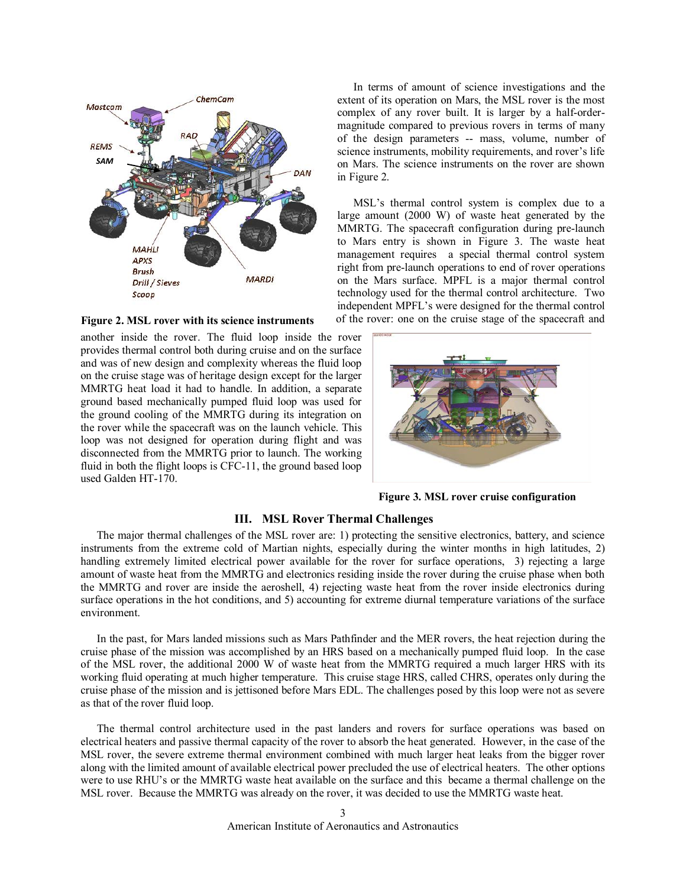

**Figure 2. MSL rover with its science instruments** 

another inside the rover. The fluid loop inside the rover provides thermal control both during cruise and on the surface and was of new design and complexity whereas the fluid loop on the cruise stage was of heritage design except for the larger MMRTG heat load it had to handle. In addition, a separate ground based mechanically pumped fluid loop was used for the ground cooling of the MMRTG during its integration on the rover while the spacecraft was on the launch vehicle. This loop was not designed for operation during flight and was disconnected from the MMRTG prior to launch. The working fluid in both the flight loops is CFC-11, the ground based loop used Galden HT-170.

In terms of amount of science investigations and the extent of its operation on Mars, the MSL rover is the most complex of any rover built. It is larger by a half-ordermagnitude compared to previous rovers in terms of many of the design parameters -- mass, volume, number of science instruments, mobility requirements, and rover's life on Mars. The science instruments on the rover are shown in Figure 2.

MSL's thermal control system is complex due to a large amount (2000 W) of waste heat generated by the MMRTG. The spacecraft configuration during pre-launch to Mars entry is shown in Figure 3. The waste heat management requires a special thermal control system right from pre-launch operations to end of rover operations on the Mars surface. MPFL is a major thermal control technology used for the thermal control architecture. Two independent MPFL's were designed for the thermal control of the rover: one on the cruise stage of the spacecraft and



**Figure 3. MSL rover cruise configuration** 

# **III. MSL Rover Thermal Challenges**

The major thermal challenges of the MSL rover are: 1) protecting the sensitive electronics, battery, and science instruments from the extreme cold of Martian nights, especially during the winter months in high latitudes, 2) handling extremely limited electrical power available for the rover for surface operations, 3) rejecting a large amount of waste heat from the MMRTG and electronics residing inside the rover during the cruise phase when both the MMRTG and rover are inside the aeroshell, 4) rejecting waste heat from the rover inside electronics during surface operations in the hot conditions, and 5) accounting for extreme diurnal temperature variations of the surface environment.

In the past, for Mars landed missions such as Mars Pathfinder and the MER rovers, the heat rejection during the cruise phase of the mission was accomplished by an HRS based on a mechanically pumped fluid loop. In the case of the MSL rover, the additional 2000 W of waste heat from the MMRTG required a much larger HRS with its working fluid operating at much higher temperature. This cruise stage HRS, called CHRS, operates only during the cruise phase of the mission and is jettisoned before Mars EDL. The challenges posed by this loop were not as severe as that of the rover fluid loop.

The thermal control architecture used in the past landers and rovers for surface operations was based on electrical heaters and passive thermal capacity of the rover to absorb the heat generated. However, in the case of the MSL rover, the severe extreme thermal environment combined with much larger heat leaks from the bigger rover along with the limited amount of available electrical power precluded the use of electrical heaters. The other options were to use RHU's or the MMRTG waste heat available on the surface and this became a thermal challenge on the MSL rover. Because the MMRTG was already on the rover, it was decided to use the MMRTG waste heat.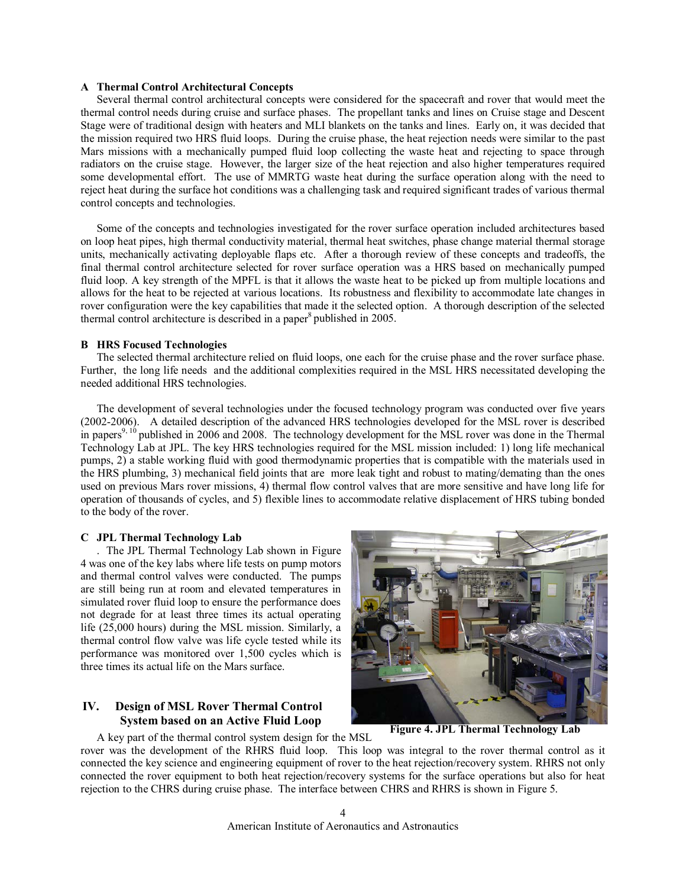# **A Thermal Control Architectural Concepts**

Several thermal control architectural concepts were considered for the spacecraft and rover that would meet the thermal control needs during cruise and surface phases. The propellant tanks and lines on Cruise stage and Descent Stage were of traditional design with heaters and MLI blankets on the tanks and lines. Early on, it was decided that the mission required two HRS fluid loops. During the cruise phase, the heat rejection needs were similar to the past Mars missions with a mechanically pumped fluid loop collecting the waste heat and rejecting to space through radiators on the cruise stage. However, the larger size of the heat rejection and also higher temperatures required some developmental effort. The use of MMRTG waste heat during the surface operation along with the need to reject heat during the surface hot conditions was a challenging task and required significant trades of various thermal control concepts and technologies.

Some of the concepts and technologies investigated for the rover surface operation included architectures based on loop heat pipes, high thermal conductivity material, thermal heat switches, phase change material thermal storage units, mechanically activating deployable flaps etc. After a thorough review of these concepts and tradeoffs, the final thermal control architecture selected for rover surface operation was a HRS based on mechanically pumped fluid loop. A key strength of the MPFL is that it allows the waste heat to be picked up from multiple locations and allows for the heat to be rejected at various locations. Its robustness and flexibility to accommodate late changes in rover configuration were the key capabilities that made it the selected option. A thorough description of the selected thermal control architecture is described in a paper<sup>8</sup> published in 2005.

# **B HRS Focused Technologies**

The selected thermal architecture relied on fluid loops, one each for the cruise phase and the rover surface phase. Further, the long life needs and the additional complexities required in the MSL HRS necessitated developing the needed additional HRS technologies.

The development of several technologies under the focused technology program was conducted over five years (2002-2006). A detailed description of the advanced HRS technologies developed for the MSL rover is described in papers<sup>9, 10</sup> published in 2006 and 2008. The technology development for the MSL rover was done in the Thermal Technology Lab at JPL. The key HRS technologies required for the MSL mission included: 1) long life mechanical pumps, 2) a stable working fluid with good thermodynamic properties that is compatible with the materials used in the HRS plumbing, 3) mechanical field joints that are more leak tight and robust to mating/demating than the ones used on previous Mars rover missions, 4) thermal flow control valves that are more sensitive and have long life for operation of thousands of cycles, and 5) flexible lines to accommodate relative displacement of HRS tubing bonded to the body of the rover.

# **C JPL Thermal Technology Lab**

. The JPL Thermal Technology Lab shown in Figure 4 was one of the key labs where life tests on pump motors and thermal control valves were conducted. The pumps are still being run at room and elevated temperatures in simulated rover fluid loop to ensure the performance does not degrade for at least three times its actual operating life (25,000 hours) during the MSL mission. Similarly, a thermal control flow valve was life cycle tested while its performance was monitored over 1,500 cycles which is three times its actual life on the Mars surface.

# **IV. Design of MSL Rover Thermal Control System based on an Active Fluid Loop**

A key part of the thermal control system design for the MSL



**Figure 4. JPL Thermal Technology Lab** 

rover was the development of the RHRS fluid loop. This loop was integral to the rover thermal control as it connected the key science and engineering equipment of rover to the heat rejection/recovery system. RHRS not only connected the rover equipment to both heat rejection/recovery systems for the surface operations but also for heat rejection to the CHRS during cruise phase. The interface between CHRS and RHRS is shown in Figure 5.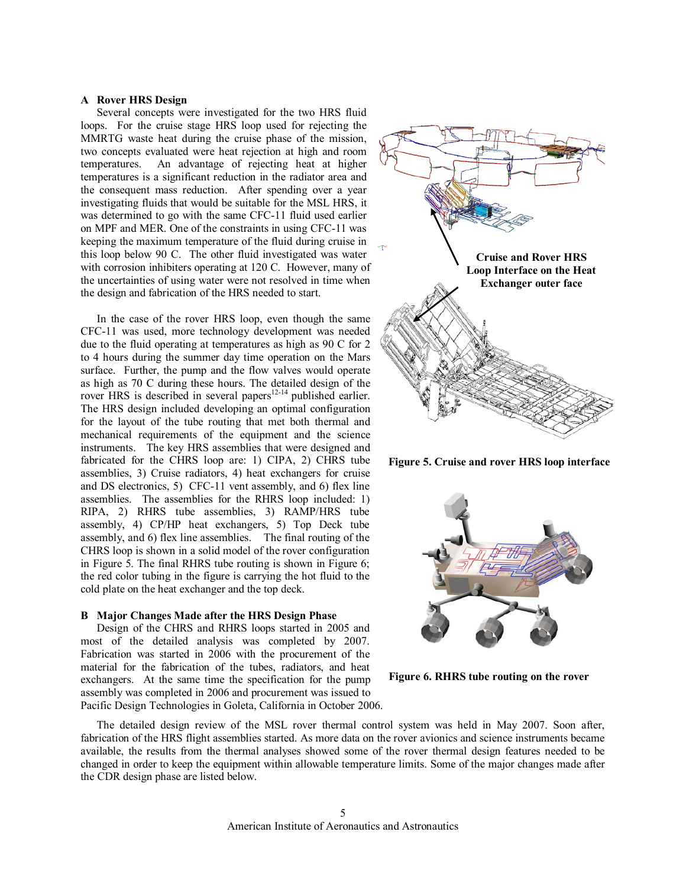### **A Rover HRS Design**

Several concepts were investigated for the two HRS fluid loops. For the cruise stage HRS loop used for rejecting the MMRTG waste heat during the cruise phase of the mission, two concepts evaluated were heat rejection at high and room temperatures. An advantage of rejecting heat at higher temperatures is a significant reduction in the radiator area and the consequent mass reduction. After spending over a year investigating fluids that would be suitable for the MSL HRS, it was determined to go with the same CFC-11 fluid used earlier on MPF and MER. One of the constraints in using CFC-11 was keeping the maximum temperature of the fluid during cruise in this loop below 90 C. The other fluid investigated was water with corrosion inhibiters operating at 120 C. However, many of the uncertainties of using water were not resolved in time when the design and fabrication of the HRS needed to start.

In the case of the rover HRS loop, even though the same CFC-11 was used, more technology development was needed due to the fluid operating at temperatures as high as 90 C for 2 to 4 hours during the summer day time operation on the Mars surface. Further, the pump and the flow valves would operate as high as 70 C during these hours. The detailed design of the rover HRS is described in several papers<sup>12-14</sup> published earlier. The HRS design included developing an optimal configuration for the layout of the tube routing that met both thermal and mechanical requirements of the equipment and the science instruments. The key HRS assemblies that were designed and fabricated for the CHRS loop are: 1) CIPA, 2) CHRS tube assemblies, 3) Cruise radiators, 4) heat exchangers for cruise and DS electronics, 5) CFC-11 vent assembly, and 6) flex line assemblies. The assemblies for the RHRS loop included: 1) RIPA, 2) RHRS tube assemblies, 3) RAMP/HRS tube assembly, 4) CP/HP heat exchangers, 5) Top Deck tube assembly, and 6) flex line assemblies. The final routing of the CHRS loop is shown in a solid model of the rover configuration in Figure 5. The final RHRS tube routing is shown in Figure 6; the red color tubing in the figure is carrying the hot fluid to the cold plate on the heat exchanger and the top deck.

## **B Major Changes Made after the HRS Design Phase**

Design of the CHRS and RHRS loops started in 2005 and most of the detailed analysis was completed by 2007. Fabrication was started in 2006 with the procurement of the material for the fabrication of the tubes, radiators, and heat exchangers. At the same time the specification for the pump assembly was completed in 2006 and procurement was issued to Pacific Design Technologies in Goleta, California in October 2006.



**Figure 5. Cruise and rover HRS loop interface**



**Figure 6. RHRS tube routing on the rover**

The detailed design review of the MSL rover thermal control system was held in May 2007. Soon after, fabrication of the HRS flight assemblies started. As more data on the rover avionics and science instruments became available, the results from the thermal analyses showed some of the rover thermal design features needed to be changed in order to keep the equipment within allowable temperature limits. Some of the major changes made after the CDR design phase are listed below.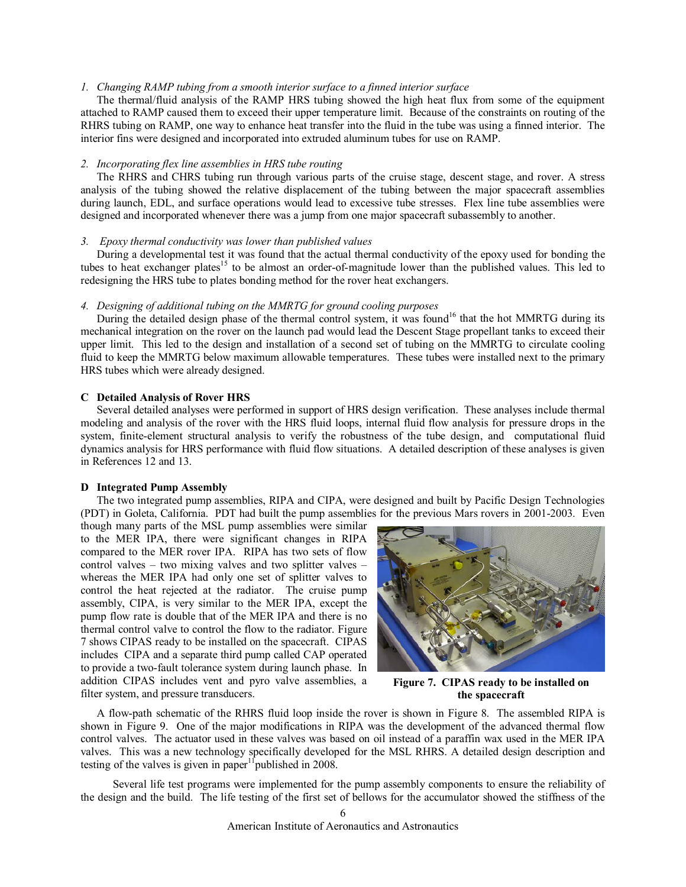# *1. Changing RAMP tubing from a smooth interior surface to a finned interior surface*

The thermal/fluid analysis of the RAMP HRS tubing showed the high heat flux from some of the equipment attached to RAMP caused them to exceed their upper temperature limit. Because of the constraints on routing of the RHRS tubing on RAMP, one way to enhance heat transfer into the fluid in the tube was using a finned interior. The interior fins were designed and incorporated into extruded aluminum tubes for use on RAMP.

## *2. Incorporating flex line assemblies in HRS tube routing*

The RHRS and CHRS tubing run through various parts of the cruise stage, descent stage, and rover. A stress analysis of the tubing showed the relative displacement of the tubing between the major spacecraft assemblies during launch, EDL, and surface operations would lead to excessive tube stresses. Flex line tube assemblies were designed and incorporated whenever there was a jump from one major spacecraft subassembly to another.

## *3. Epoxy thermal conductivity was lower than published values*

During a developmental test it was found that the actual thermal conductivity of the epoxy used for bonding the tubes to heat exchanger plates<sup>15</sup> to be almost an order-of-magnitude lower than the published values. This led to redesigning the HRS tube to plates bonding method for the rover heat exchangers.

#### *4. Designing of additional tubing on the MMRTG for ground cooling purposes*

During the detailed design phase of the thermal control system, it was found<sup>16</sup> that the hot MMRTG during its mechanical integration on the rover on the launch pad would lead the Descent Stage propellant tanks to exceed their upper limit. This led to the design and installation of a second set of tubing on the MMRTG to circulate cooling fluid to keep the MMRTG below maximum allowable temperatures. These tubes were installed next to the primary HRS tubes which were already designed.

#### **C Detailed Analysis of Rover HRS**

Several detailed analyses were performed in support of HRS design verification. These analyses include thermal modeling and analysis of the rover with the HRS fluid loops, internal fluid flow analysis for pressure drops in the system, finite-element structural analysis to verify the robustness of the tube design, and computational fluid dynamics analysis for HRS performance with fluid flow situations. A detailed description of these analyses is given in References 12 and 13.

#### **D Integrated Pump Assembly**

The two integrated pump assemblies, RIPA and CIPA, were designed and built by Pacific Design Technologies (PDT) in Goleta, California. PDT had built the pump assemblies for the previous Mars rovers in 2001-2003. Even

though many parts of the MSL pump assemblies were similar to the MER IPA, there were significant changes in RIPA compared to the MER rover IPA. RIPA has two sets of flow control valves – two mixing valves and two splitter valves – whereas the MER IPA had only one set of splitter valves to control the heat rejected at the radiator. The cruise pump assembly, CIPA, is very similar to the MER IPA, except the pump flow rate is double that of the MER IPA and there is no thermal control valve to control the flow to the radiator. Figure 7 shows CIPAS ready to be installed on the spacecraft. CIPAS includes CIPA and a separate third pump called CAP operated to provide a two-fault tolerance system during launch phase. In addition CIPAS includes vent and pyro valve assemblies, a filter system, and pressure transducers.



**Figure 7. CIPAS ready to be installed on the spacecraft**

A flow-path schematic of the RHRS fluid loop inside the rover is shown in Figure 8. The assembled RIPA is shown in Figure 9. One of the major modifications in RIPA was the development of the advanced thermal flow control valves. The actuator used in these valves was based on oil instead of a paraffin wax used in the MER IPA valves. This was a new technology specifically developed for the MSL RHRS. A detailed design description and testing of the valves is given in paper $11$  published in 2008.

Several life test programs were implemented for the pump assembly components to ensure the reliability of the design and the build. The life testing of the first set of bellows for the accumulator showed the stiffness of the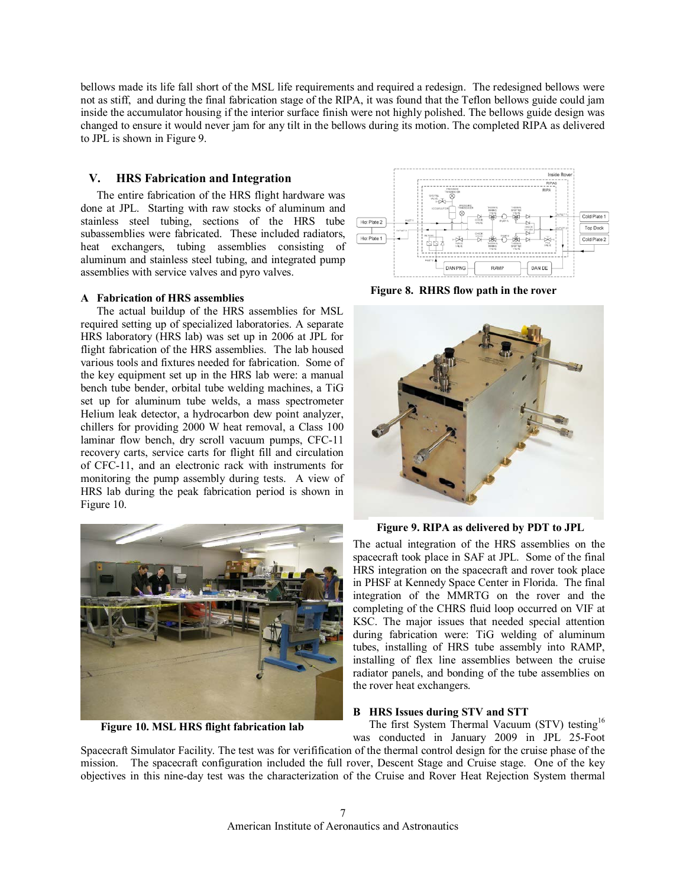bellows made its life fall short of the MSL life requirements and required a redesign. The redesigned bellows were not as stiff, and during the final fabrication stage of the RIPA, it was found that the Teflon bellows guide could jam inside the accumulator housing if the interior surface finish were not highly polished. The bellows guide design was changed to ensure it would never jam for any tilt in the bellows during its motion. The completed RIPA as delivered to JPL is shown in Figure 9.

# **V. HRS Fabrication and Integration**

The entire fabrication of the HRS flight hardware was done at JPL. Starting with raw stocks of aluminum and stainless steel tubing, sections of the HRS tube subassemblies were fabricated. These included radiators, heat exchangers, tubing assemblies consisting of aluminum and stainless steel tubing, and integrated pump assemblies with service valves and pyro valves.

# **A Fabrication of HRS assemblies**

The actual buildup of the HRS assemblies for MSL required setting up of specialized laboratories. A separate HRS laboratory (HRS lab) was set up in 2006 at JPL for flight fabrication of the HRS assemblies. The lab housed various tools and fixtures needed for fabrication. Some of the key equipment set up in the HRS lab were: a manual bench tube bender, orbital tube welding machines, a TiG set up for aluminum tube welds, a mass spectrometer Helium leak detector, a hydrocarbon dew point analyzer, chillers for providing 2000 W heat removal, a Class 100 laminar flow bench, dry scroll vacuum pumps, CFC-11 recovery carts, service carts for flight fill and circulation of CFC-11, and an electronic rack with instruments for monitoring the pump assembly during tests. A view of HRS lab during the peak fabrication period is shown in Figure 10.



**Figure 10. MSL HRS flight fabrication lab** 



**Figure 8. RHRS flow path in the rover**



**Figure 9. RIPA as delivered by PDT to JPL**

The actual integration of the HRS assemblies on the spacecraft took place in SAF at JPL. Some of the final HRS integration on the spacecraft and rover took place in PHSF at Kennedy Space Center in Florida. The final integration of the MMRTG on the rover and the completing of the CHRS fluid loop occurred on VIF at KSC. The major issues that needed special attention during fabrication were: TiG welding of aluminum tubes, installing of HRS tube assembly into RAMP, installing of flex line assemblies between the cruise radiator panels, and bonding of the tube assemblies on the rover heat exchangers.

# **B HRS Issues during STV and STT**

The first System Thermal Vacuum (STV) testing<sup>16</sup> was conducted in January 2009 in JPL 25-Foot

Spacecraft Simulator Facility. The test was for verifification of the thermal control design for the cruise phase of the mission. The spacecraft configuration included the full rover, Descent Stage and Cruise stage. One of the key objectives in this nine-day test was the characterization of the Cruise and Rover Heat Rejection System thermal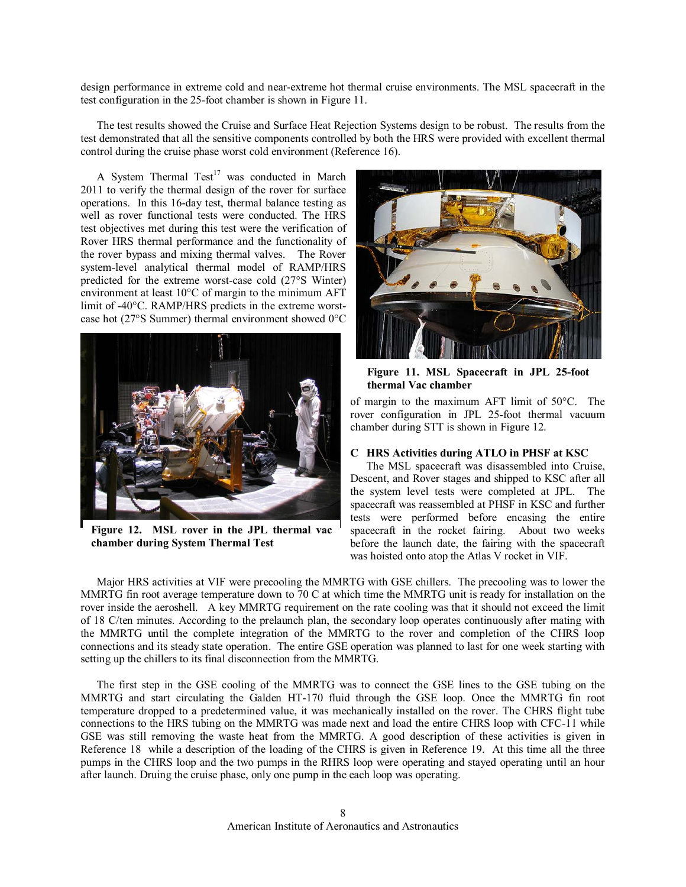design performance in extreme cold and near-extreme hot thermal cruise environments. The MSL spacecraft in the test configuration in the 25-foot chamber is shown in Figure 11.

The test results showed the Cruise and Surface Heat Rejection Systems design to be robust. The results from the test demonstrated that all the sensitive components controlled by both the HRS were provided with excellent thermal control during the cruise phase worst cold environment (Reference 16).

A System Thermal  $Test<sup>17</sup>$  was conducted in March 2011 to verify the thermal design of the rover for surface operations. In this 16-day test, thermal balance testing as well as rover functional tests were conducted. The HRS test objectives met during this test were the verification of Rover HRS thermal performance and the functionality of the rover bypass and mixing thermal valves. The Rover system-level analytical thermal model of RAMP/HRS predicted for the extreme worst-case cold (27°S Winter) environment at least 10°C of margin to the minimum AFT limit of -40°C. RAMP/HRS predicts in the extreme worstcase hot (27°S Summer) thermal environment showed 0°C



**Figure 12. MSL rover in the JPL thermal vac chamber during System Thermal Test**



**Figure 11. MSL Spacecraft in JPL 25-foot thermal Vac chamber**

of margin to the maximum AFT limit of 50°C. The rover configuration in JPL 25-foot thermal vacuum chamber during STT is shown in Figure 12.

# **C HRS Activities during ATLO in PHSF at KSC**

The MSL spacecraft was disassembled into Cruise, Descent, and Rover stages and shipped to KSC after all the system level tests were completed at JPL. The spacecraft was reassembled at PHSF in KSC and further tests were performed before encasing the entire spacecraft in the rocket fairing. About two weeks before the launch date, the fairing with the spacecraft was hoisted onto atop the Atlas V rocket in VIF.

Major HRS activities at VIF were precooling the MMRTG with GSE chillers. The precooling was to lower the MMRTG fin root average temperature down to 70 C at which time the MMRTG unit is ready for installation on the rover inside the aeroshell. A key MMRTG requirement on the rate cooling was that it should not exceed the limit of 18 C/ten minutes. According to the prelaunch plan, the secondary loop operates continuously after mating with the MMRTG until the complete integration of the MMRTG to the rover and completion of the CHRS loop connections and its steady state operation. The entire GSE operation was planned to last for one week starting with setting up the chillers to its final disconnection from the MMRTG.

The first step in the GSE cooling of the MMRTG was to connect the GSE lines to the GSE tubing on the MMRTG and start circulating the Galden HT-170 fluid through the GSE loop. Once the MMRTG fin root temperature dropped to a predetermined value, it was mechanically installed on the rover. The CHRS flight tube connections to the HRS tubing on the MMRTG was made next and load the entire CHRS loop with CFC-11 while GSE was still removing the waste heat from the MMRTG. A good description of these activities is given in Reference 18 while a description of the loading of the CHRS is given in Reference 19. At this time all the three pumps in the CHRS loop and the two pumps in the RHRS loop were operating and stayed operating until an hour after launch. Druing the cruise phase, only one pump in the each loop was operating.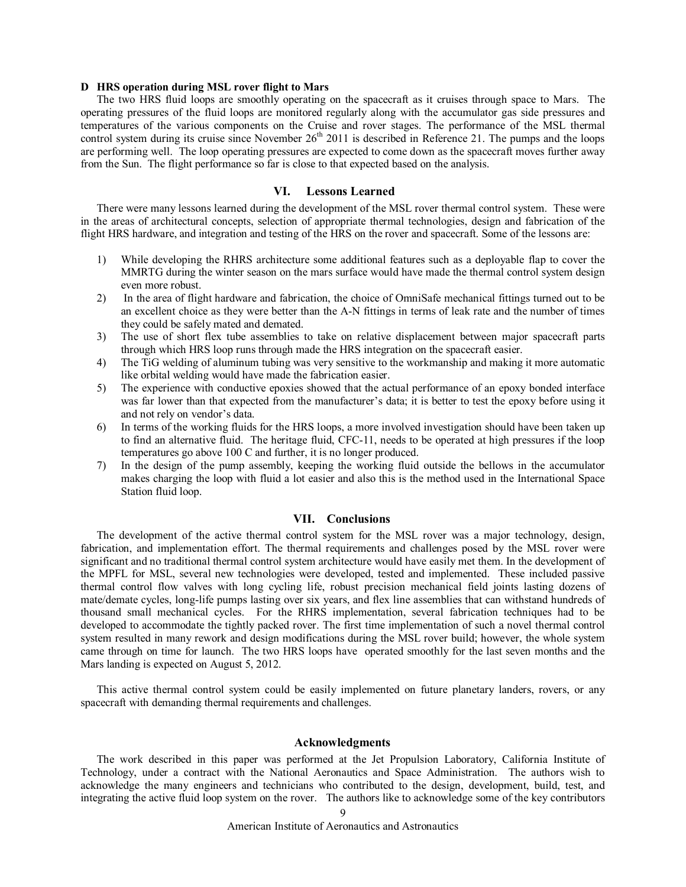# **D HRS operation during MSL rover flight to Mars**

The two HRS fluid loops are smoothly operating on the spacecraft as it cruises through space to Mars. The operating pressures of the fluid loops are monitored regularly along with the accumulator gas side pressures and temperatures of the various components on the Cruise and rover stages. The performance of the MSL thermal control system during its cruise since November  $26<sup>th</sup> 2011$  is described in Reference 21. The pumps and the loops are performing well. The loop operating pressures are expected to come down as the spacecraft moves further away from the Sun. The flight performance so far is close to that expected based on the analysis.

# **VI. Lessons Learned**

There were many lessons learned during the development of the MSL rover thermal control system. These were in the areas of architectural concepts, selection of appropriate thermal technologies, design and fabrication of the flight HRS hardware, and integration and testing of the HRS on the rover and spacecraft. Some of the lessons are:

- 1) While developing the RHRS architecture some additional features such as a deployable flap to cover the MMRTG during the winter season on the mars surface would have made the thermal control system design even more robust.
- 2) In the area of flight hardware and fabrication, the choice of OmniSafe mechanical fittings turned out to be an excellent choice as they were better than the A-N fittings in terms of leak rate and the number of times they could be safely mated and demated.
- 3) The use of short flex tube assemblies to take on relative displacement between major spacecraft parts through which HRS loop runs through made the HRS integration on the spacecraft easier.
- 4) The TiG welding of aluminum tubing was very sensitive to the workmanship and making it more automatic like orbital welding would have made the fabrication easier.
- 5) The experience with conductive epoxies showed that the actual performance of an epoxy bonded interface was far lower than that expected from the manufacturer's data; it is better to test the epoxy before using it and not rely on vendor's data.
- 6) In terms of the working fluids for the HRS loops, a more involved investigation should have been taken up to find an alternative fluid. The heritage fluid, CFC-11, needs to be operated at high pressures if the loop temperatures go above 100 C and further, it is no longer produced.
- 7) In the design of the pump assembly, keeping the working fluid outside the bellows in the accumulator makes charging the loop with fluid a lot easier and also this is the method used in the International Space Station fluid loop.

# **VII. Conclusions**

The development of the active thermal control system for the MSL rover was a major technology, design, fabrication, and implementation effort. The thermal requirements and challenges posed by the MSL rover were significant and no traditional thermal control system architecture would have easily met them. In the development of the MPFL for MSL, several new technologies were developed, tested and implemented. These included passive thermal control flow valves with long cycling life, robust precision mechanical field joints lasting dozens of mate/demate cycles, long-life pumps lasting over six years, and flex line assemblies that can withstand hundreds of thousand small mechanical cycles. For the RHRS implementation, several fabrication techniques had to be developed to accommodate the tightly packed rover. The first time implementation of such a novel thermal control system resulted in many rework and design modifications during the MSL rover build; however, the whole system came through on time for launch. The two HRS loops have operated smoothly for the last seven months and the Mars landing is expected on August 5, 2012.

This active thermal control system could be easily implemented on future planetary landers, rovers, or any spacecraft with demanding thermal requirements and challenges.

# **Acknowledgments**

The work described in this paper was performed at the Jet Propulsion Laboratory, California Institute of Technology, under a contract with the National Aeronautics and Space Administration. The authors wish to acknowledge the many engineers and technicians who contributed to the design, development, build, test, and integrating the active fluid loop system on the rover. The authors like to acknowledge some of the key contributors

American Institute of Aeronautics and Astronautics